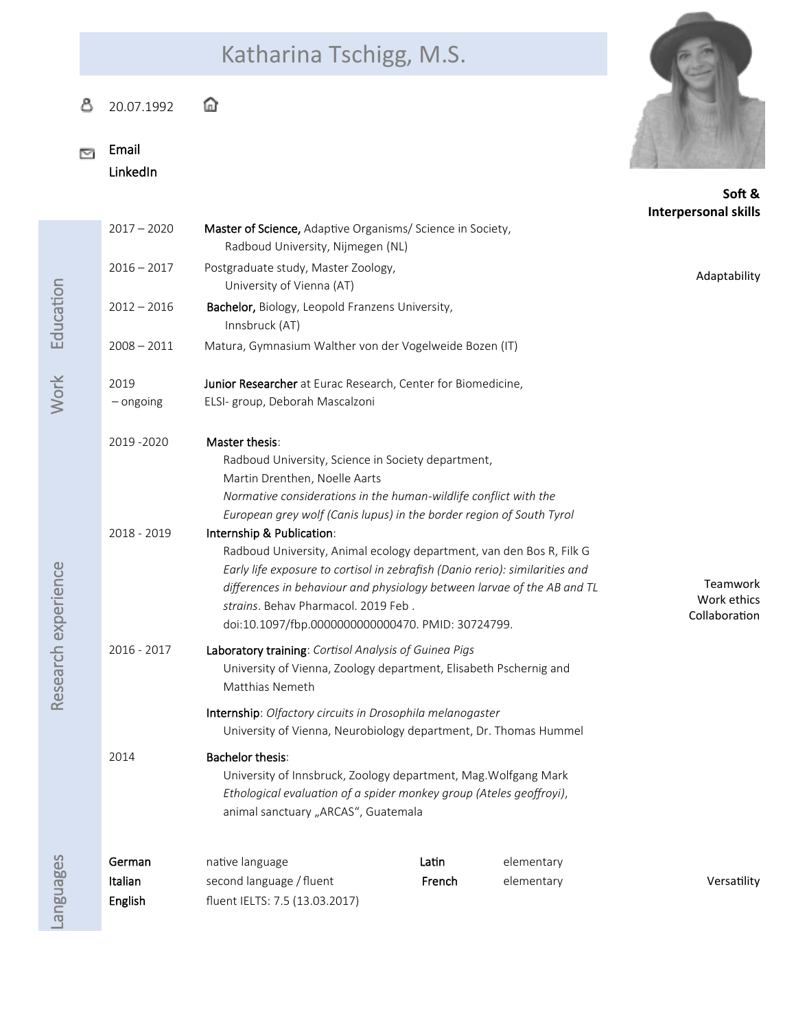## Katharina Tschigg, M.S.

## ⋔ ది 20.07.1992

Email  $\overline{\mathbb{R}^n}$ 

**Education** 

Work

LinkedIn



**So� &**

|               |                                                                                                                                                                               |        |            | <b>Interpersonal skills</b> |
|---------------|-------------------------------------------------------------------------------------------------------------------------------------------------------------------------------|--------|------------|-----------------------------|
| $2017 - 2020$ | <b>Master of Science,</b> Adaptive Organisms/ Science in Society,                                                                                                             |        |            |                             |
|               | Radboud University, Nijmegen (NL)                                                                                                                                             |        |            |                             |
| $2016 - 2017$ | Postgraduate study, Master Zoology,<br>University of Vienna (AT)                                                                                                              |        |            | Adaptability                |
| $2012 - 2016$ | Bachelor, Biology, Leopold Franzens University,<br>Innsbruck (AT)                                                                                                             |        |            |                             |
| $2008 - 2011$ | Matura, Gymnasium Walther von der Vogelweide Bozen (IT)                                                                                                                       |        |            |                             |
| 2019          | Junior Researcher at Eurac Research, Center for Biomedicine,                                                                                                                  |        |            |                             |
| $-$ ongoing   | ELSI- group, Deborah Mascalzoni                                                                                                                                               |        |            |                             |
| 2019 - 2020   | Master thesis:                                                                                                                                                                |        |            |                             |
|               | Radboud University, Science in Society department,                                                                                                                            |        |            |                             |
|               | Martin Drenthen, Noelle Aarts                                                                                                                                                 |        |            |                             |
|               | Normative considerations in the human-wildlife conflict with the                                                                                                              |        |            |                             |
|               | European grey wolf (Canis lupus) in the border region of South Tyrol                                                                                                          |        |            |                             |
| 2018 - 2019   | Internship & Publication:                                                                                                                                                     |        |            |                             |
|               | Radboud University, Animal ecology department, van den Bos R, Filk G                                                                                                          |        |            |                             |
|               | Early life exposure to cortisol in zebrafish (Danio rerio): similarities and<br>differences in behaviour and physiology between larvae of the AB and TL                       |        |            | Teamwork                    |
|               | strains. Behav Pharmacol. 2019 Feb.                                                                                                                                           |        |            | Work ethics                 |
|               | doi:10.1097/fbp.0000000000000470. PMID: 30724799.                                                                                                                             |        |            | Collaboration               |
| 2016 - 2017   | Laboratory training: Cortisol Analysis of Guinea Pigs                                                                                                                         |        |            |                             |
|               | University of Vienna, Zoology department, Elisabeth Pschernig and<br>Matthias Nemeth                                                                                          |        |            |                             |
|               | Internship: Olfactory circuits in Drosophila melanogaster<br>University of Vienna, Neurobiology department, Dr. Thomas Hummel                                                 |        |            |                             |
| 2014          | <b>Bachelor thesis:</b>                                                                                                                                                       |        |            |                             |
|               | University of Innsbruck, Zoology department, Mag. Wolfgang Mark<br>Ethological evaluation of a spider monkey group (Ateles geoffroyi),<br>animal sanctuary "ARCAS", Guatemala |        |            |                             |
|               |                                                                                                                                                                               |        |            |                             |
| German        | native language                                                                                                                                                               | Latin  | elementary |                             |
| Italian       | second language / fluent                                                                                                                                                      | French | elementary | Versatility                 |

Lan a<br>Bua ges

English fluent IELTS: 7.5 (13.03.2017)

Rese

arc h exp

erience